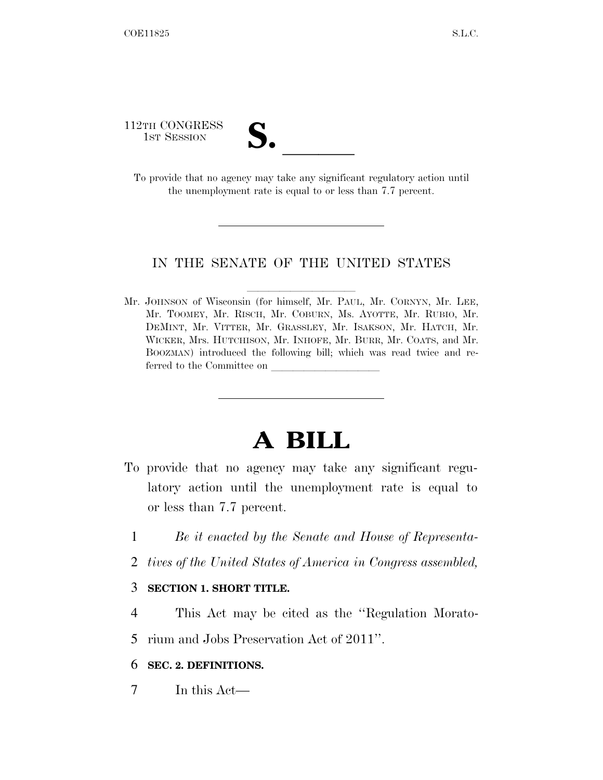112TH CONGRESS

12TH CONGRESS<br>
1st SESSION<br>
To provide that no agency may take any significant regulatory action until the unemployment rate is equal to or less than 7.7 percent.

### IN THE SENATE OF THE UNITED STATES

Mr. JOHNSON of Wisconsin (for himself, Mr. PAUL, Mr. CORNYN, Mr. LEE, Mr. TOOMEY, Mr. RISCH, Mr. COBURN, Ms. AYOTTE, Mr. RUBIO, Mr. DEMINT, Mr. VITTER, Mr. GRASSLEY, Mr. ISAKSON, Mr. HATCH, Mr. WICKER, Mrs. HUTCHISON, Mr. INHOFE, Mr. BURR, Mr. COATS, and Mr. BOOZMAN) introduced the following bill; which was read twice and referred to the Committee on

# **A BILL**

- To provide that no agency may take any significant regulatory action until the unemployment rate is equal to or less than 7.7 percent.
	- 1 *Be it enacted by the Senate and House of Representa-*
	- 2 *tives of the United States of America in Congress assembled,*

#### 3 **SECTION 1. SHORT TITLE.**

4 This Act may be cited as the ''Regulation Morato-

5 rium and Jobs Preservation Act of 2011''.

# 6 **SEC. 2. DEFINITIONS.**

7 In this Act—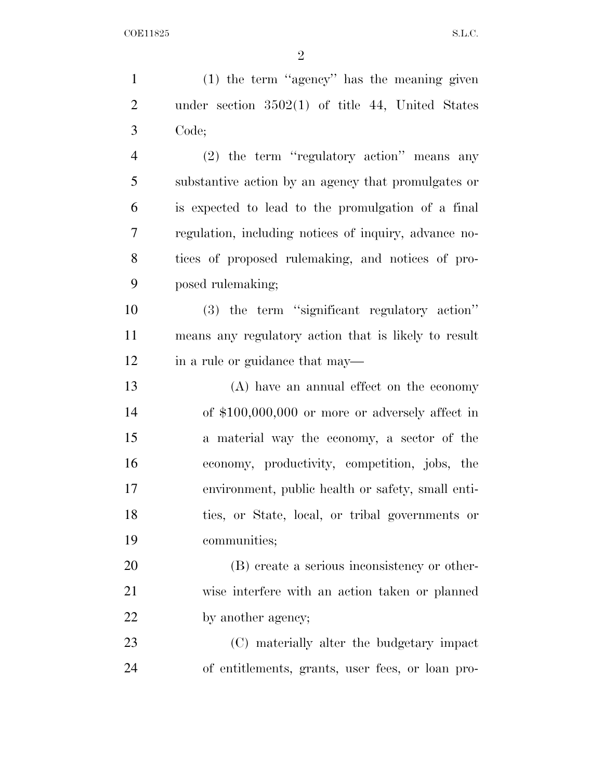(1) the term ''agency'' has the meaning given under section 3502(1) of title 44, United States Code; (2) the term ''regulatory action'' means any substantive action by an agency that promulgates or is expected to lead to the promulgation of a final regulation, including notices of inquiry, advance no- tices of proposed rulemaking, and notices of pro- posed rulemaking; (3) the term ''significant regulatory action'' means any regulatory action that is likely to result 12 in a rule or guidance that may— (A) have an annual effect on the economy of \$100,000,000 or more or adversely affect in a material way the economy, a sector of the economy, productivity, competition, jobs, the environment, public health or safety, small enti- ties, or State, local, or tribal governments or communities; (B) create a serious inconsistency or other- wise interfere with an action taken or planned 22 by another agency;

 (C) materially alter the budgetary impact of entitlements, grants, user fees, or loan pro-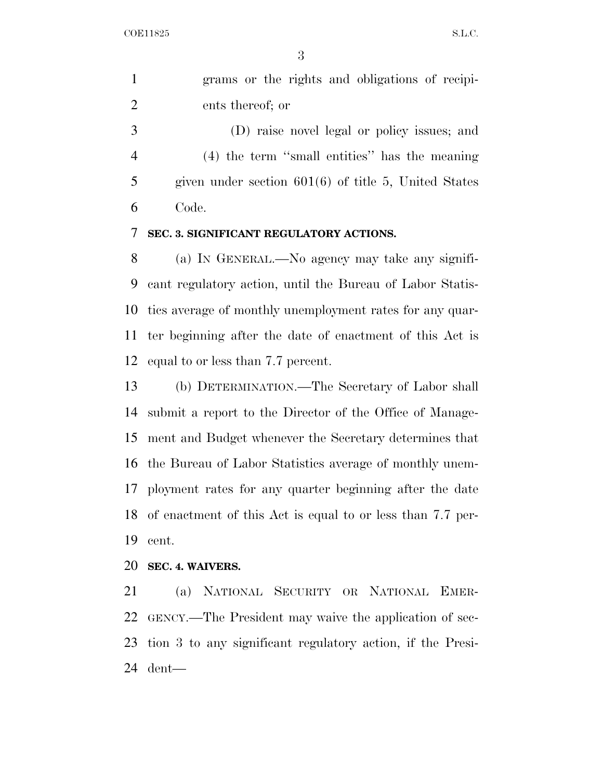grams or the rights and obligations of recipi-ents thereof; or

 (D) raise novel legal or policy issues; and (4) the term ''small entities'' has the meaning given under section 601(6) of title 5, United States Code.

## **SEC. 3. SIGNIFICANT REGULATORY ACTIONS.**

 (a) IN GENERAL.—No agency may take any signifi- cant regulatory action, until the Bureau of Labor Statis- tics average of monthly unemployment rates for any quar- ter beginning after the date of enactment of this Act is equal to or less than 7.7 percent.

 (b) DETERMINATION.—The Secretary of Labor shall submit a report to the Director of the Office of Manage- ment and Budget whenever the Secretary determines that the Bureau of Labor Statistics average of monthly unem- ployment rates for any quarter beginning after the date of enactment of this Act is equal to or less than 7.7 per-cent.

### **SEC. 4. WAIVERS.**

 (a) NATIONAL SECURITY OR NATIONAL EMER- GENCY.—The President may waive the application of sec- tion 3 to any significant regulatory action, if the Presi-dent—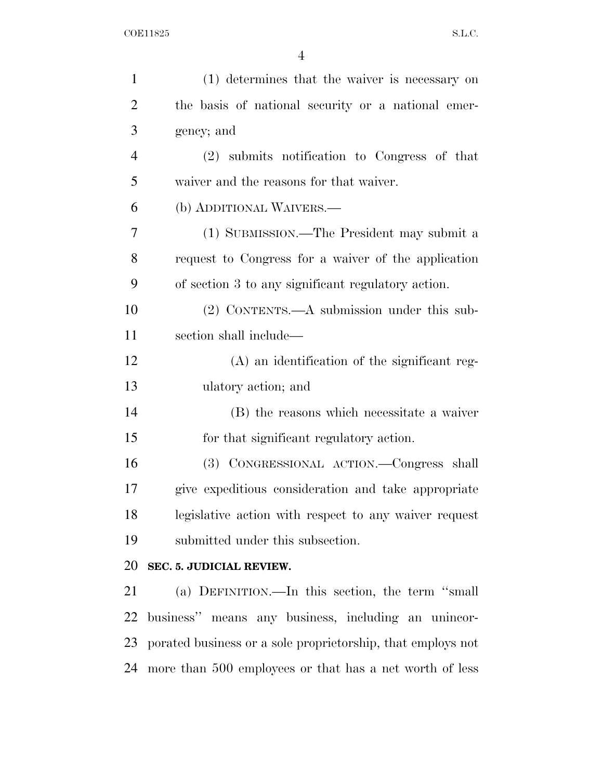| $\mathbf{1}$   | (1) determines that the waiver is necessary on              |
|----------------|-------------------------------------------------------------|
| $\overline{2}$ | the basis of national security or a national emer-          |
| 3              | gency; and                                                  |
| $\overline{4}$ | (2) submits notification to Congress of that                |
| 5              | waiver and the reasons for that waiver.                     |
| 6              | (b) ADDITIONAL WAIVERS.—                                    |
| 7              | (1) SUBMISSION.—The President may submit a                  |
| 8              | request to Congress for a waiver of the application         |
| 9              | of section 3 to any significant regulatory action.          |
| 10             | (2) CONTENTS.—A submission under this sub-                  |
| 11             | section shall include—                                      |
| 12             | (A) an identification of the significant reg-               |
| 13             | ulatory action; and                                         |
| 14             | (B) the reasons which necessitate a waiver                  |
| 15             | for that significant regulatory action.                     |
| 16             | (3) CONGRESSIONAL ACTION. Congress shall                    |
| 17             | give expeditious consideration and take appropriate         |
| 18             | legislative action with respect to any waiver request       |
| 19             | submitted under this subsection.                            |
| 20             | SEC. 5. JUDICIAL REVIEW.                                    |
| 21             | (a) DEFINITION.—In this section, the term "small            |
| 22             | business" means any business, including an unincor-         |
| 23             | porated business or a sole proprietorship, that employs not |
| 24             | more than 500 employees or that has a net worth of less     |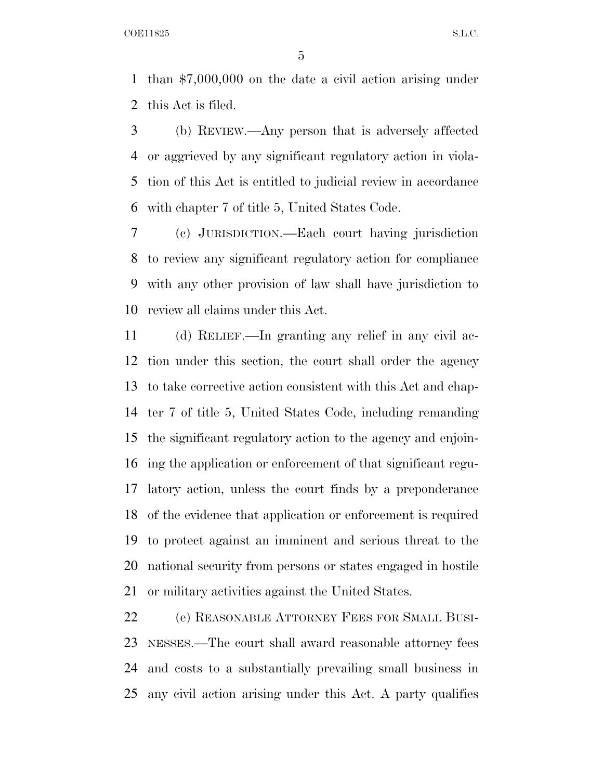than \$7,000,000 on the date a civil action arising under this Act is filed.

 (b) REVIEW.—Any person that is adversely affected or aggrieved by any significant regulatory action in viola- tion of this Act is entitled to judicial review in accordance with chapter 7 of title 5, United States Code.

 (c) JURISDICTION.—Each court having jurisdiction to review any significant regulatory action for compliance with any other provision of law shall have jurisdiction to review all claims under this Act.

 (d) RELIEF.—In granting any relief in any civil ac- tion under this section, the court shall order the agency to take corrective action consistent with this Act and chap- ter 7 of title 5, United States Code, including remanding the significant regulatory action to the agency and enjoin- ing the application or enforcement of that significant regu- latory action, unless the court finds by a preponderance of the evidence that application or enforcement is required to protect against an imminent and serious threat to the national security from persons or states engaged in hostile or military activities against the United States.

 (e) REASONABLE ATTORNEY FEES FOR SMALL BUSI- NESSES.—The court shall award reasonable attorney fees and costs to a substantially prevailing small business in any civil action arising under this Act. A party qualifies